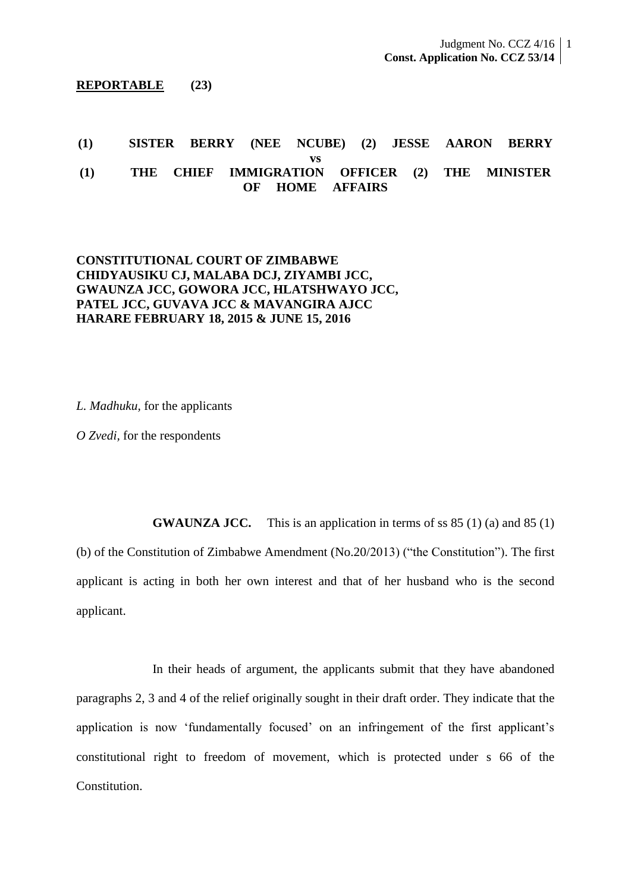#### **REPORTABLE (23)**

### **(1) SISTER BERRY (NEE NCUBE) (2) JESSE AARON BERRY vs (1) THE CHIEF IMMIGRATION OFFICER (2) THE MINISTER OF HOME AFFAIRS**

# **CONSTITUTIONAL COURT OF ZIMBABWE CHIDYAUSIKU CJ, MALABA DCJ, ZIYAMBI JCC, GWAUNZA JCC, GOWORA JCC, HLATSHWAYO JCC, PATEL JCC, GUVAVA JCC & MAVANGIRA AJCC HARARE FEBRUARY 18, 2015 & JUNE 15, 2016**

*L. Madhuku,* for the applicants

*O Zvedi,* for the respondents

**GWAUNZA JCC.** This is an application in terms of ss 85 (1) (a) and 85 (1) (b) of the Constitution of Zimbabwe Amendment (No.20/2013) ("the Constitution"). The first applicant is acting in both her own interest and that of her husband who is the second applicant.

In their heads of argument, the applicants submit that they have abandoned paragraphs 2, 3 and 4 of the relief originally sought in their draft order. They indicate that the application is now 'fundamentally focused' on an infringement of the first applicant's constitutional right to freedom of movement, which is protected under s 66 of the Constitution.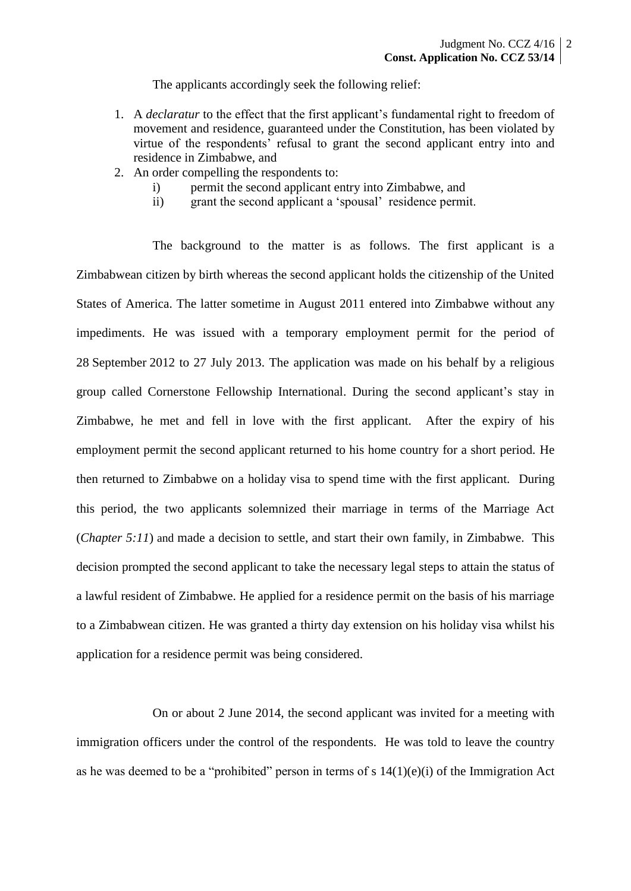The applicants accordingly seek the following relief:

- 1. A *declaratur* to the effect that the first applicant's fundamental right to freedom of movement and residence, guaranteed under the Constitution, has been violated by virtue of the respondents' refusal to grant the second applicant entry into and residence in Zimbabwe, and
- 2. An order compelling the respondents to:
	- i) permit the second applicant entry into Zimbabwe, and
	- ii) grant the second applicant a 'spousal' residence permit.

The background to the matter is as follows. The first applicant is a Zimbabwean citizen by birth whereas the second applicant holds the citizenship of the United States of America. The latter sometime in August 2011 entered into Zimbabwe without any impediments. He was issued with a temporary employment permit for the period of 28 September 2012 to 27 July 2013. The application was made on his behalf by a religious group called Cornerstone Fellowship International. During the second applicant's stay in Zimbabwe, he met and fell in love with the first applicant. After the expiry of his employment permit the second applicant returned to his home country for a short period. He then returned to Zimbabwe on a holiday visa to spend time with the first applicant. During this period, the two applicants solemnized their marriage in terms of the Marriage Act (*Chapter 5:11*) and made a decision to settle, and start their own family, in Zimbabwe. This decision prompted the second applicant to take the necessary legal steps to attain the status of a lawful resident of Zimbabwe. He applied for a residence permit on the basis of his marriage to a Zimbabwean citizen. He was granted a thirty day extension on his holiday visa whilst his application for a residence permit was being considered.

On or about 2 June 2014, the second applicant was invited for a meeting with immigration officers under the control of the respondents. He was told to leave the country as he was deemed to be a "prohibited" person in terms of s  $14(1)(e)(i)$  of the Immigration Act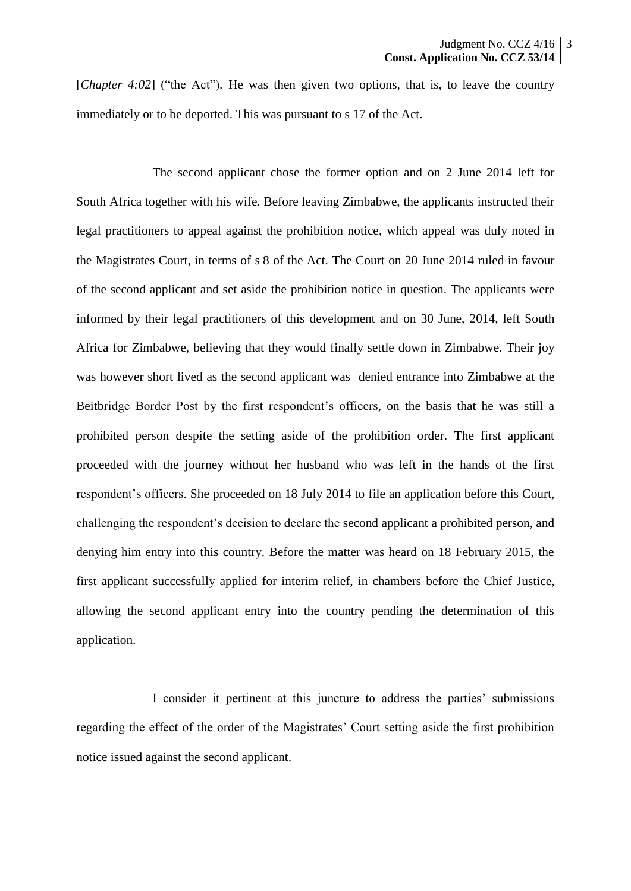[*Chapter 4:02*] ("the Act"). He was then given two options, that is, to leave the country immediately or to be deported. This was pursuant to s 17 of the Act.

The second applicant chose the former option and on 2 June 2014 left for South Africa together with his wife. Before leaving Zimbabwe, the applicants instructed their legal practitioners to appeal against the prohibition notice, which appeal was duly noted in the Magistrates Court, in terms of s 8 of the Act. The Court on 20 June 2014 ruled in favour of the second applicant and set aside the prohibition notice in question. The applicants were informed by their legal practitioners of this development and on 30 June, 2014, left South Africa for Zimbabwe, believing that they would finally settle down in Zimbabwe. Their joy was however short lived as the second applicant was denied entrance into Zimbabwe at the Beitbridge Border Post by the first respondent's officers, on the basis that he was still a prohibited person despite the setting aside of the prohibition order. The first applicant proceeded with the journey without her husband who was left in the hands of the first respondent's officers. She proceeded on 18 July 2014 to file an application before this Court, challenging the respondent's decision to declare the second applicant a prohibited person, and denying him entry into this country. Before the matter was heard on 18 February 2015, the first applicant successfully applied for interim relief, in chambers before the Chief Justice, allowing the second applicant entry into the country pending the determination of this application.

I consider it pertinent at this juncture to address the parties' submissions regarding the effect of the order of the Magistrates' Court setting aside the first prohibition notice issued against the second applicant.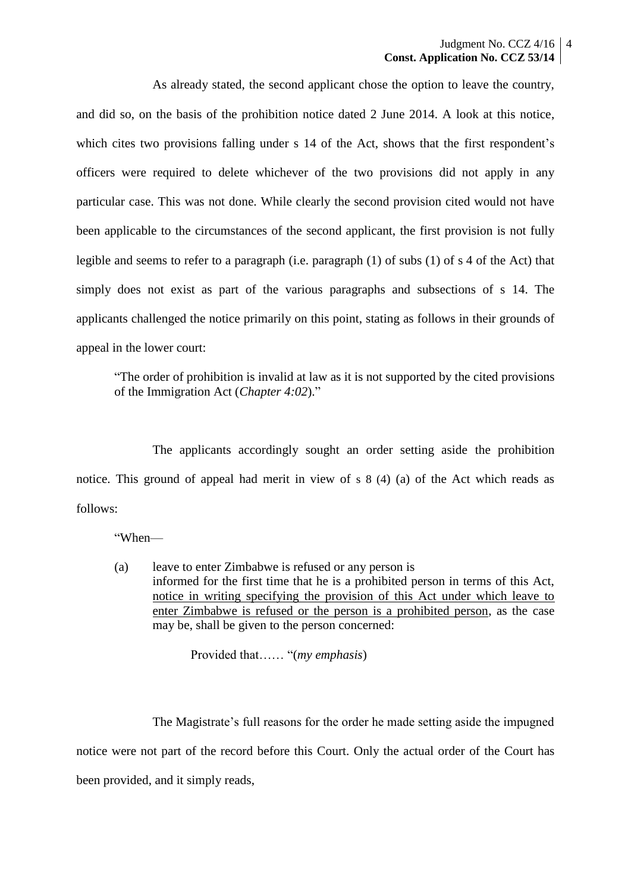As already stated, the second applicant chose the option to leave the country, and did so, on the basis of the prohibition notice dated 2 June 2014. A look at this notice, which cites two provisions falling under s 14 of the Act, shows that the first respondent's officers were required to delete whichever of the two provisions did not apply in any particular case. This was not done. While clearly the second provision cited would not have been applicable to the circumstances of the second applicant, the first provision is not fully legible and seems to refer to a paragraph (i.e. paragraph (1) of subs (1) of s 4 of the Act) that simply does not exist as part of the various paragraphs and subsections of s 14. The applicants challenged the notice primarily on this point, stating as follows in their grounds of appeal in the lower court:

"The order of prohibition is invalid at law as it is not supported by the cited provisions of the Immigration Act (*Chapter 4:02*)."

The applicants accordingly sought an order setting aside the prohibition notice. This ground of appeal had merit in view of s 8 (4) (a) of the Act which reads as follows:

"When—

(a) leave to enter Zimbabwe is refused or any person is informed for the first time that he is a prohibited person in terms of this Act, notice in writing specifying the provision of this Act under which leave to enter Zimbabwe is refused or the person is a prohibited person, as the case may be, shall be given to the person concerned:

Provided that…… "(*my emphasis*)

The Magistrate's full reasons for the order he made setting aside the impugned notice were not part of the record before this Court. Only the actual order of the Court has been provided, and it simply reads,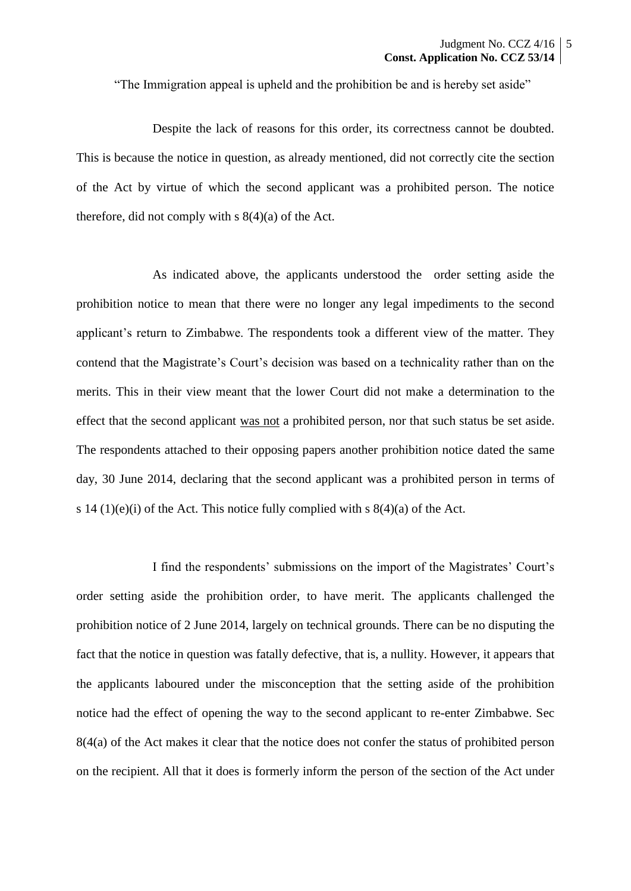"The Immigration appeal is upheld and the prohibition be and is hereby set aside"

Despite the lack of reasons for this order, its correctness cannot be doubted. This is because the notice in question, as already mentioned, did not correctly cite the section of the Act by virtue of which the second applicant was a prohibited person. The notice therefore, did not comply with  $s \ 8(4)(a)$  of the Act.

As indicated above, the applicants understood the order setting aside the prohibition notice to mean that there were no longer any legal impediments to the second applicant's return to Zimbabwe. The respondents took a different view of the matter. They contend that the Magistrate's Court's decision was based on a technicality rather than on the merits. This in their view meant that the lower Court did not make a determination to the effect that the second applicant was not a prohibited person, nor that such status be set aside. The respondents attached to their opposing papers another prohibition notice dated the same day, 30 June 2014, declaring that the second applicant was a prohibited person in terms of s 14 (1)(e)(i) of the Act. This notice fully complied with s  $8(4)(a)$  of the Act.

I find the respondents' submissions on the import of the Magistrates' Court's order setting aside the prohibition order, to have merit. The applicants challenged the prohibition notice of 2 June 2014, largely on technical grounds. There can be no disputing the fact that the notice in question was fatally defective, that is, a nullity. However, it appears that the applicants laboured under the misconception that the setting aside of the prohibition notice had the effect of opening the way to the second applicant to re-enter Zimbabwe. Sec 8(4(a) of the Act makes it clear that the notice does not confer the status of prohibited person on the recipient. All that it does is formerly inform the person of the section of the Act under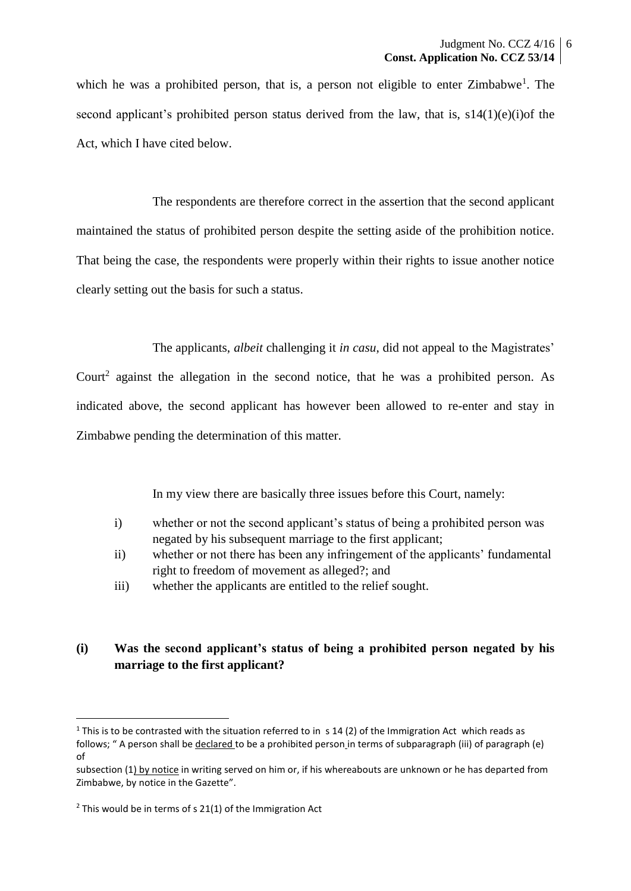which he was a prohibited person, that is, a person not eligible to enter Zimbabwe<sup>1</sup>. The second applicant's prohibited person status derived from the law, that is,  $s14(1)(e)(i)$  the Act, which I have cited below.

The respondents are therefore correct in the assertion that the second applicant maintained the status of prohibited person despite the setting aside of the prohibition notice. That being the case, the respondents were properly within their rights to issue another notice clearly setting out the basis for such a status.

The applicants, *albeit* challenging it *in casu*, did not appeal to the Magistrates' Court<sup>2</sup> against the allegation in the second notice, that he was a prohibited person. As indicated above, the second applicant has however been allowed to re-enter and stay in Zimbabwe pending the determination of this matter.

In my view there are basically three issues before this Court, namely:

- i) whether or not the second applicant's status of being a prohibited person was negated by his subsequent marriage to the first applicant;
- ii) whether or not there has been any infringement of the applicants' fundamental right to freedom of movement as alleged?; and
- iii) whether the applicants are entitled to the relief sought.

# **(i) Was the second applicant's status of being a prohibited person negated by his marriage to the first applicant?**

 $\overline{\phantom{a}}$ 

<sup>&</sup>lt;sup>1</sup> This is to be contrasted with the situation referred to in s 14 (2) of the Immigration Act which reads as follows; " A person shall be declared to be a prohibited person in terms of subparagraph (iii) of paragraph (e) of

subsection (1) by notice in writing served on him or, if his whereabouts are unknown or he has departed from Zimbabwe, by notice in the Gazette".

 $2$  This would be in terms of s 21(1) of the Immigration Act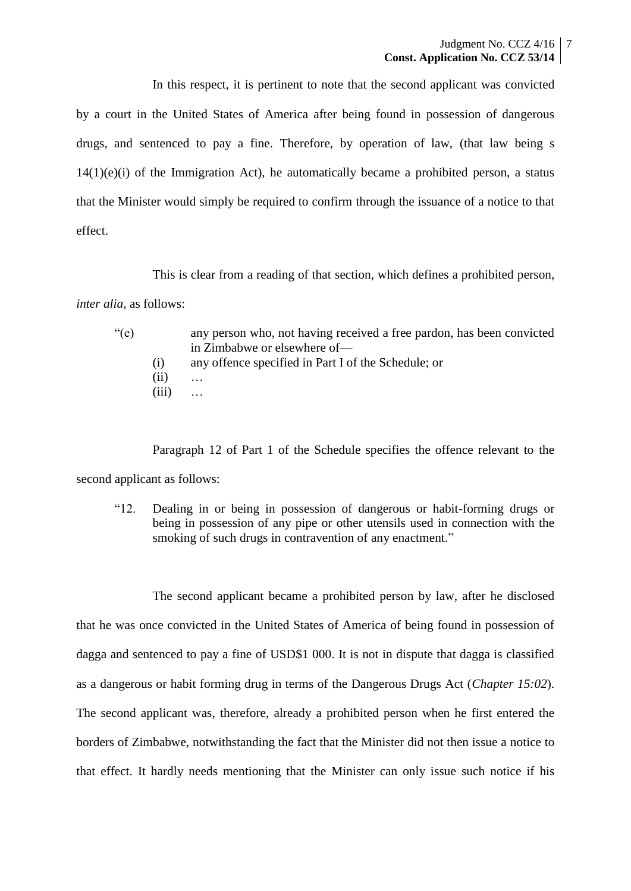In this respect, it is pertinent to note that the second applicant was convicted by a court in the United States of America after being found in possession of dangerous drugs, and sentenced to pay a fine. Therefore, by operation of law, (that law being s  $14(1)(e)(i)$  of the Immigration Act), he automatically became a prohibited person, a status that the Minister would simply be required to confirm through the issuance of a notice to that effect.

This is clear from a reading of that section, which defines a prohibited person,

*inter alia,* as follows:

| $\degree$ (e) |       | any person who, not having received a free pardon, has been convicted |
|---------------|-------|-----------------------------------------------------------------------|
|               |       | in Zimbabwe or elsewhere of-                                          |
|               | (1)   | any offence specified in Part I of the Schedule; or                   |
|               | (i)   | $\cdots$                                                              |
|               | (iii) | $\cdots$                                                              |

Paragraph 12 of Part 1 of the Schedule specifies the offence relevant to the second applicant as follows:

"12. Dealing in or being in possession of dangerous or habit-forming drugs or being in possession of any pipe or other utensils used in connection with the smoking of such drugs in contravention of any enactment."

The second applicant became a prohibited person by law, after he disclosed that he was once convicted in the United States of America of being found in possession of dagga and sentenced to pay a fine of USD\$1 000. It is not in dispute that dagga is classified as a dangerous or habit forming drug in terms of the Dangerous Drugs Act (*Chapter 15:02*). The second applicant was, therefore, already a prohibited person when he first entered the borders of Zimbabwe, notwithstanding the fact that the Minister did not then issue a notice to that effect. It hardly needs mentioning that the Minister can only issue such notice if his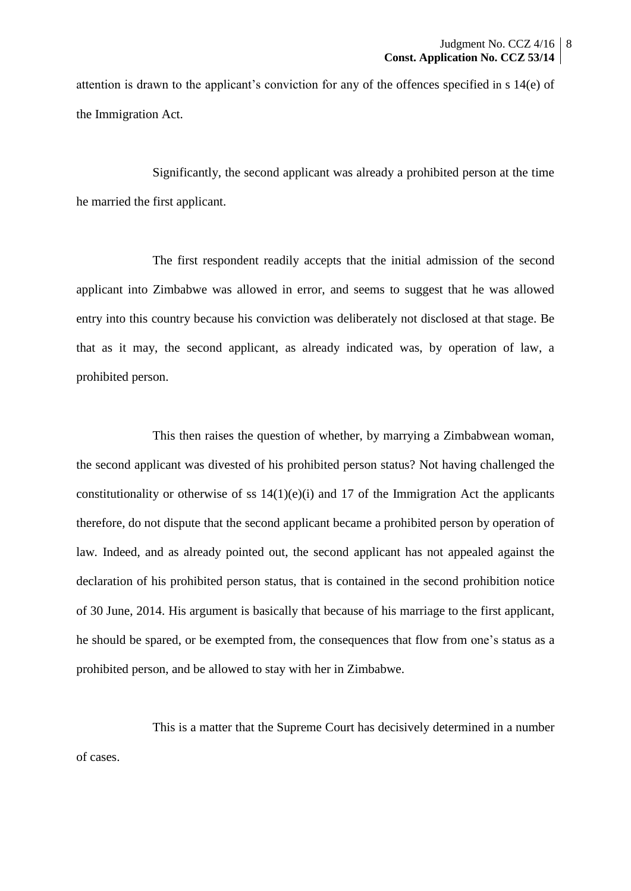attention is drawn to the applicant's conviction for any of the offences specified in s 14(e) of the Immigration Act.

Significantly, the second applicant was already a prohibited person at the time he married the first applicant.

The first respondent readily accepts that the initial admission of the second applicant into Zimbabwe was allowed in error, and seems to suggest that he was allowed entry into this country because his conviction was deliberately not disclosed at that stage. Be that as it may, the second applicant, as already indicated was, by operation of law, a prohibited person.

This then raises the question of whether, by marrying a Zimbabwean woman, the second applicant was divested of his prohibited person status? Not having challenged the constitutionality or otherwise of ss  $14(1)(e)(i)$  and 17 of the Immigration Act the applicants therefore, do not dispute that the second applicant became a prohibited person by operation of law*.* Indeed, and as already pointed out, the second applicant has not appealed against the declaration of his prohibited person status, that is contained in the second prohibition notice of 30 June, 2014. His argument is basically that because of his marriage to the first applicant, he should be spared, or be exempted from, the consequences that flow from one's status as a prohibited person, and be allowed to stay with her in Zimbabwe.

This is a matter that the Supreme Court has decisively determined in a number of cases.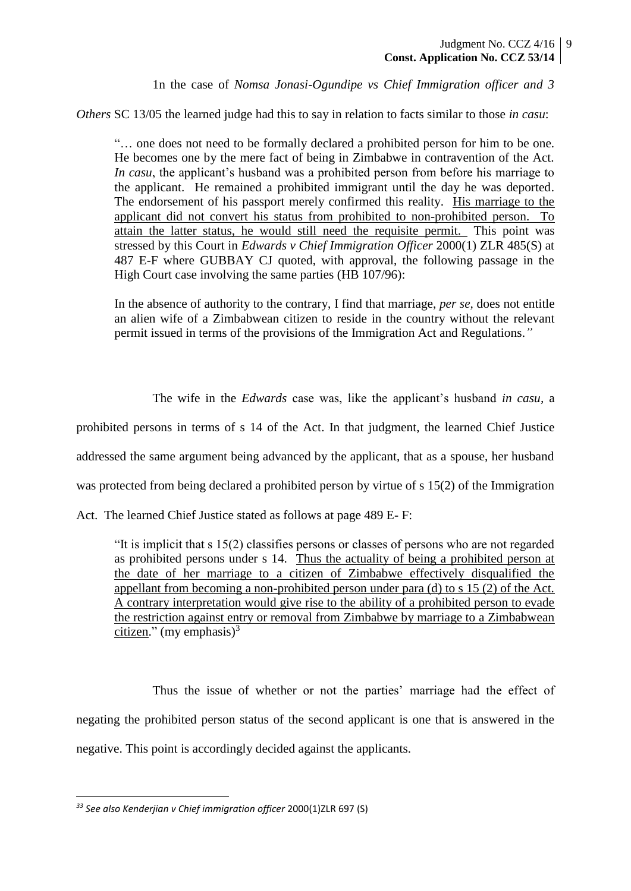1n the case of *Nomsa Jonasi-Ogundipe vs Chief Immigration officer and 3* 

*Others* SC 13/05 the learned judge had this to say in relation to facts similar to those *in casu*:

"… one does not need to be formally declared a prohibited person for him to be one. He becomes one by the mere fact of being in Zimbabwe in contravention of the Act. *In casu*, the applicant's husband was a prohibited person from before his marriage to the applicant. He remained a prohibited immigrant until the day he was deported. The endorsement of his passport merely confirmed this reality. His marriage to the applicant did not convert his status from prohibited to non-prohibited person. To attain the latter status, he would still need the requisite permit. This point was stressed by this Court in *Edwards v Chief Immigration Officer* 2000(1) ZLR 485(S) at 487 E-F where GUBBAY CJ quoted, with approval, the following passage in the High Court case involving the same parties (HB 107/96):

In the absence of authority to the contrary, I find that marriage, *per se,* does not entitle an alien wife of a Zimbabwean citizen to reside in the country without the relevant permit issued in terms of the provisions of the Immigration Act and Regulations.*"*

The wife in the *Edwards* case was, like the applicant's husband *in casu,* a

prohibited persons in terms of s 14 of the Act. In that judgment, the learned Chief Justice

addressed the same argument being advanced by the applicant, that as a spouse, her husband

was protected from being declared a prohibited person by virtue of s 15(2) of the Immigration

Act. The learned Chief Justice stated as follows at page 489 E- F:

"It is implicit that s 15(2) classifies persons or classes of persons who are not regarded as prohibited persons under s 14. Thus the actuality of being a prohibited person at the date of her marriage to a citizen of Zimbabwe effectively disqualified the appellant from becoming a non-prohibited person under para (d) to s 15  $(2)$  of the Act. A contrary interpretation would give rise to the ability of a prohibited person to evade the restriction against entry or removal from Zimbabwe by marriage to a Zimbabwean citizen." (my emphasis) $3<sup>3</sup>$ 

Thus the issue of whether or not the parties' marriage had the effect of negating the prohibited person status of the second applicant is one that is answered in the negative. This point is accordingly decided against the applicants.

**.** 

*<sup>33</sup> See also Kenderjian v Chief immigration officer* 2000(1)ZLR 697 (S)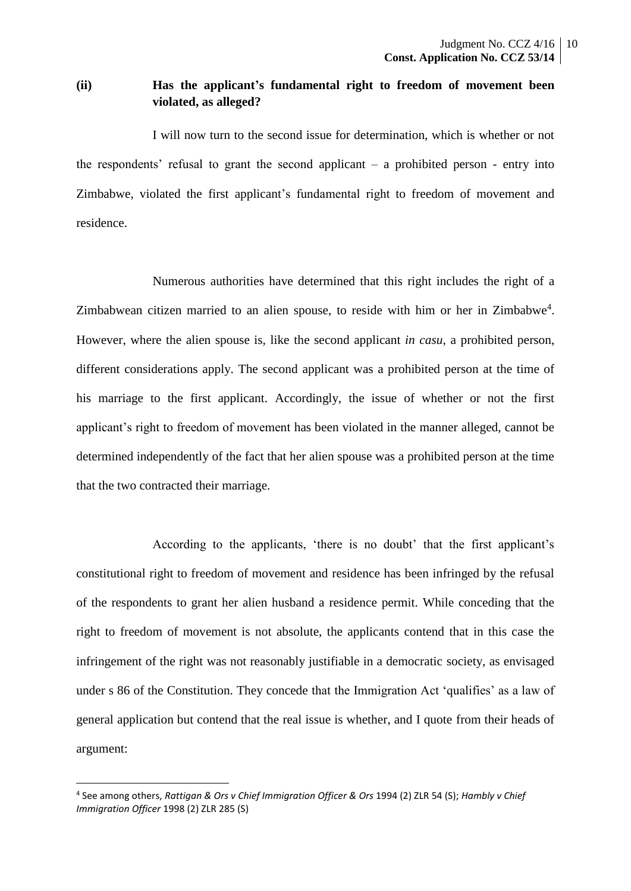# **(ii) Has the applicant's fundamental right to freedom of movement been violated, as alleged?**

I will now turn to the second issue for determination, which is whether or not the respondents' refusal to grant the second applicant  $-$  a prohibited person  $-$  entry into Zimbabwe, violated the first applicant's fundamental right to freedom of movement and residence.

Numerous authorities have determined that this right includes the right of a Zimbabwean citizen married to an alien spouse, to reside with him or her in Zimbabwe<sup>4</sup>. However, where the alien spouse is, like the second applicant *in casu,* a prohibited person, different considerations apply. The second applicant was a prohibited person at the time of his marriage to the first applicant. Accordingly, the issue of whether or not the first applicant's right to freedom of movement has been violated in the manner alleged, cannot be determined independently of the fact that her alien spouse was a prohibited person at the time that the two contracted their marriage.

According to the applicants, 'there is no doubt' that the first applicant's constitutional right to freedom of movement and residence has been infringed by the refusal of the respondents to grant her alien husband a residence permit. While conceding that the right to freedom of movement is not absolute, the applicants contend that in this case the infringement of the right was not reasonably justifiable in a democratic society, as envisaged under s 86 of the Constitution. They concede that the Immigration Act 'qualifies' as a law of general application but contend that the real issue is whether, and I quote from their heads of argument:

1

<sup>4</sup> See among others, *Rattigan & Ors v Chief Immigration Officer & Ors* 1994 (2) ZLR 54 (S); *Hambly v Chief Immigration Officer* 1998 (2) ZLR 285 (S)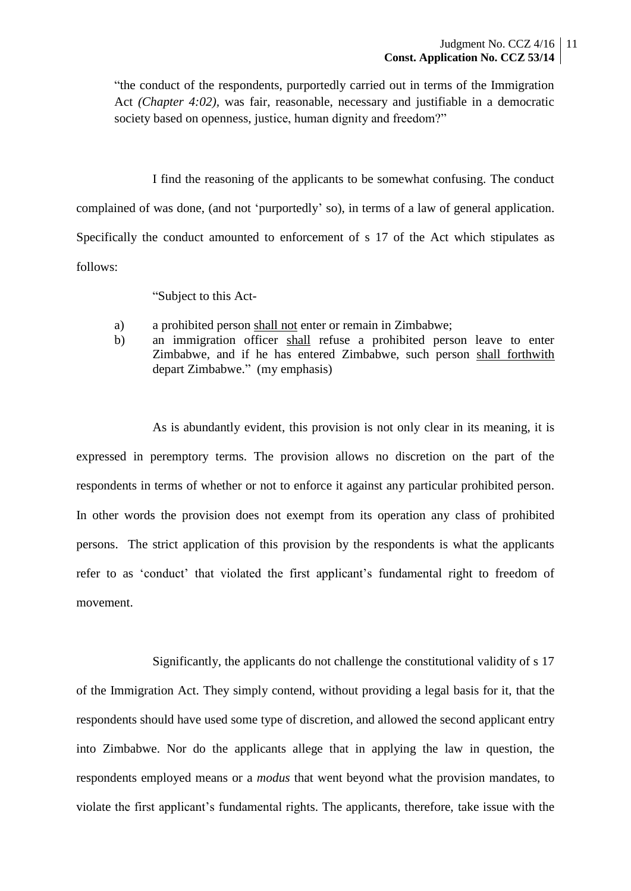"the conduct of the respondents, purportedly carried out in terms of the Immigration Act *(Chapter 4:02),* was fair, reasonable, necessary and justifiable in a democratic society based on openness, justice, human dignity and freedom?"

I find the reasoning of the applicants to be somewhat confusing. The conduct complained of was done, (and not 'purportedly' so), in terms of a law of general application. Specifically the conduct amounted to enforcement of s 17 of the Act which stipulates as follows:

"Subject to this Act-

- a) a prohibited person shall not enter or remain in Zimbabwe;
- b) an immigration officer shall refuse a prohibited person leave to enter Zimbabwe, and if he has entered Zimbabwe, such person shall forthwith depart Zimbabwe." (my emphasis)

As is abundantly evident, this provision is not only clear in its meaning, it is expressed in peremptory terms. The provision allows no discretion on the part of the respondents in terms of whether or not to enforce it against any particular prohibited person. In other words the provision does not exempt from its operation any class of prohibited persons. The strict application of this provision by the respondents is what the applicants refer to as 'conduct' that violated the first applicant's fundamental right to freedom of movement.

Significantly, the applicants do not challenge the constitutional validity of s 17 of the Immigration Act. They simply contend, without providing a legal basis for it, that the respondents should have used some type of discretion, and allowed the second applicant entry into Zimbabwe. Nor do the applicants allege that in applying the law in question, the respondents employed means or a *modus* that went beyond what the provision mandates, to violate the first applicant's fundamental rights. The applicants, therefore, take issue with the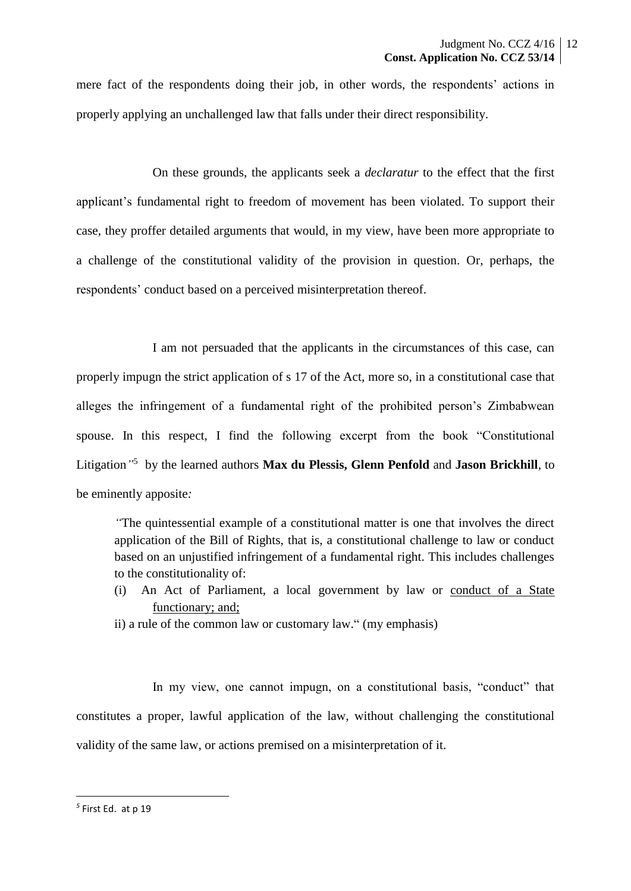mere fact of the respondents doing their job, in other words, the respondents' actions in properly applying an unchallenged law that falls under their direct responsibility.

On these grounds, the applicants seek a *declaratur* to the effect that the first applicant's fundamental right to freedom of movement has been violated. To support their case, they proffer detailed arguments that would, in my view, have been more appropriate to a challenge of the constitutional validity of the provision in question. Or, perhaps, the respondents' conduct based on a perceived misinterpretation thereof.

I am not persuaded that the applicants in the circumstances of this case, can properly impugn the strict application of s 17 of the Act, more so, in a constitutional case that alleges the infringement of a fundamental right of the prohibited person's Zimbabwean spouse. In this respect, I find the following excerpt from the book "Constitutional Litigation*"* 5 by the learned authors **Max du Plessis, Glenn Penfold** and **Jason Brickhill***,* to be eminently apposite*:*

*"*The quintessential example of a constitutional matter is one that involves the direct application of the Bill of Rights, that is, a constitutional challenge to law or conduct based on an unjustified infringement of a fundamental right. This includes challenges to the constitutionality of:

- (i) An Act of Parliament, a local government by law or conduct of a State functionary; and;
- ii) a rule of the common law or customary law." (my emphasis)

In my view, one cannot impugn, on a constitutional basis, "conduct" that constitutes a proper, lawful application of the law, without challenging the constitutional validity of the same law, or actions premised on a misinterpretation of it.

**.** 

*<sup>5</sup>* First Ed. at p 19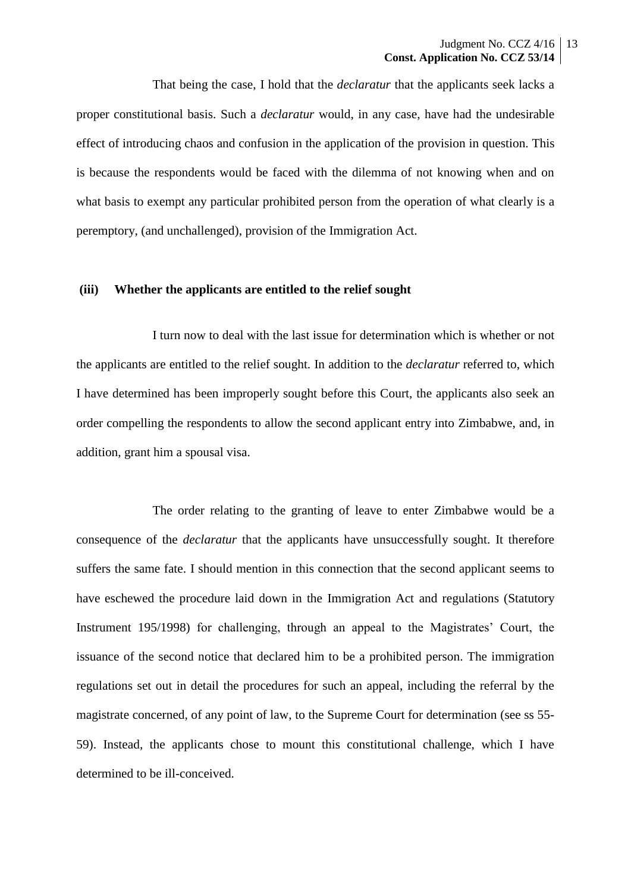That being the case, I hold that the *declaratur* that the applicants seek lacks a proper constitutional basis. Such a *declaratur* would, in any case, have had the undesirable effect of introducing chaos and confusion in the application of the provision in question. This is because the respondents would be faced with the dilemma of not knowing when and on what basis to exempt any particular prohibited person from the operation of what clearly is a peremptory, (and unchallenged), provision of the Immigration Act.

### **(iii) Whether the applicants are entitled to the relief sought**

I turn now to deal with the last issue for determination which is whether or not the applicants are entitled to the relief sought. In addition to the *declaratur* referred to, which I have determined has been improperly sought before this Court, the applicants also seek an order compelling the respondents to allow the second applicant entry into Zimbabwe, and, in addition, grant him a spousal visa.

The order relating to the granting of leave to enter Zimbabwe would be a consequence of the *declaratur* that the applicants have unsuccessfully sought. It therefore suffers the same fate. I should mention in this connection that the second applicant seems to have eschewed the procedure laid down in the Immigration Act and regulations (Statutory Instrument 195/1998) for challenging, through an appeal to the Magistrates' Court, the issuance of the second notice that declared him to be a prohibited person. The immigration regulations set out in detail the procedures for such an appeal, including the referral by the magistrate concerned, of any point of law, to the Supreme Court for determination (see ss 55- 59). Instead, the applicants chose to mount this constitutional challenge, which I have determined to be ill-conceived.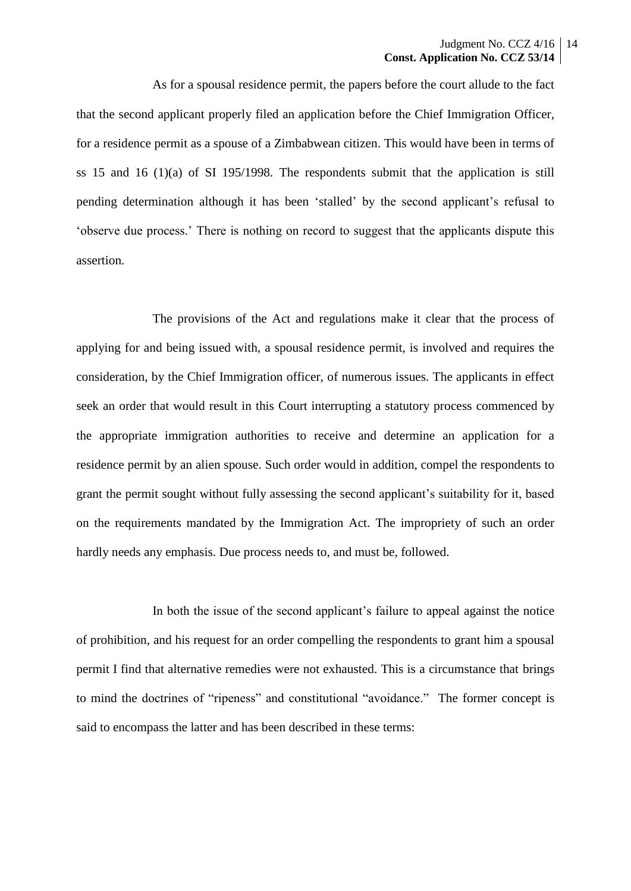As for a spousal residence permit, the papers before the court allude to the fact that the second applicant properly filed an application before the Chief Immigration Officer, for a residence permit as a spouse of a Zimbabwean citizen. This would have been in terms of ss 15 and 16 (1)(a) of SI 195/1998*.* The respondents submit that the application is still pending determination although it has been 'stalled' by the second applicant's refusal to 'observe due process.' There is nothing on record to suggest that the applicants dispute this assertion.

The provisions of the Act and regulations make it clear that the process of applying for and being issued with, a spousal residence permit, is involved and requires the consideration, by the Chief Immigration officer, of numerous issues. The applicants in effect seek an order that would result in this Court interrupting a statutory process commenced by the appropriate immigration authorities to receive and determine an application for a residence permit by an alien spouse. Such order would in addition, compel the respondents to grant the permit sought without fully assessing the second applicant's suitability for it, based on the requirements mandated by the Immigration Act. The impropriety of such an order hardly needs any emphasis. Due process needs to, and must be, followed.

In both the issue of the second applicant's failure to appeal against the notice of prohibition, and his request for an order compelling the respondents to grant him a spousal permit I find that alternative remedies were not exhausted. This is a circumstance that brings to mind the doctrines of "ripeness" and constitutional "avoidance." The former concept is said to encompass the latter and has been described in these terms: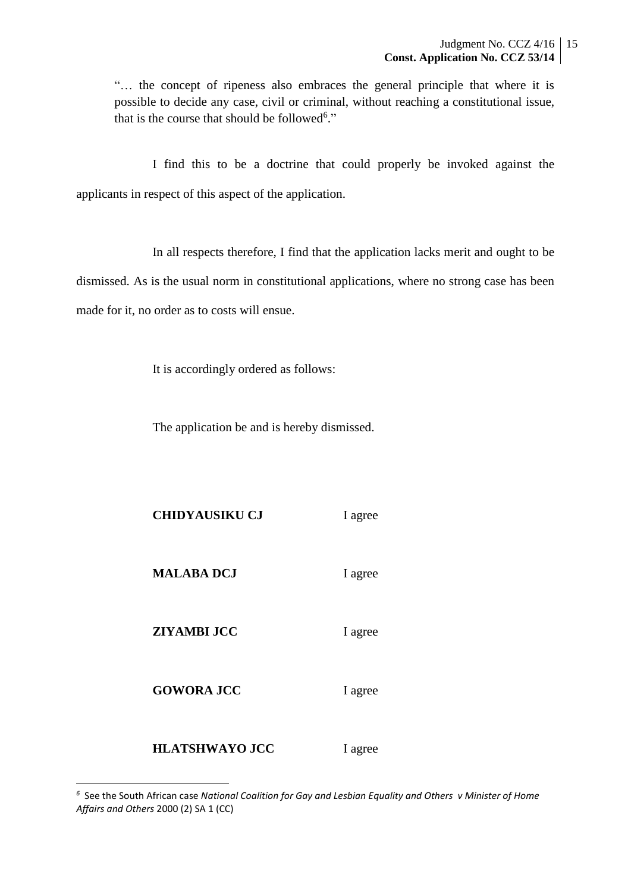"… the concept of ripeness also embraces the general principle that where it is possible to decide any case, civil or criminal, without reaching a constitutional issue, that is the course that should be followed<sup>6</sup>."

I find this to be a doctrine that could properly be invoked against the applicants in respect of this aspect of the application.

In all respects therefore, I find that the application lacks merit and ought to be dismissed. As is the usual norm in constitutional applications, where no strong case has been made for it, no order as to costs will ensue.

It is accordingly ordered as follows:

The application be and is hereby dismissed.

|                   | <b>CHIDYAUSIKU CJ</b> | I agree |
|-------------------|-----------------------|---------|
| <b>MALABA DCJ</b> |                       | I agree |
| ZIYAMBI JCC       |                       | I agree |
| <b>GOWORA JCC</b> |                       | I agree |
|                   | <b>HLATSHWAYO JCC</b> | I agree |

1

<sup>&</sup>lt;sup>6</sup> See the South African case *National Coalition for Gay and Lesbian Equality and Others v Minister of Home Affairs and Others* 2000 (2) SA 1 (CC)